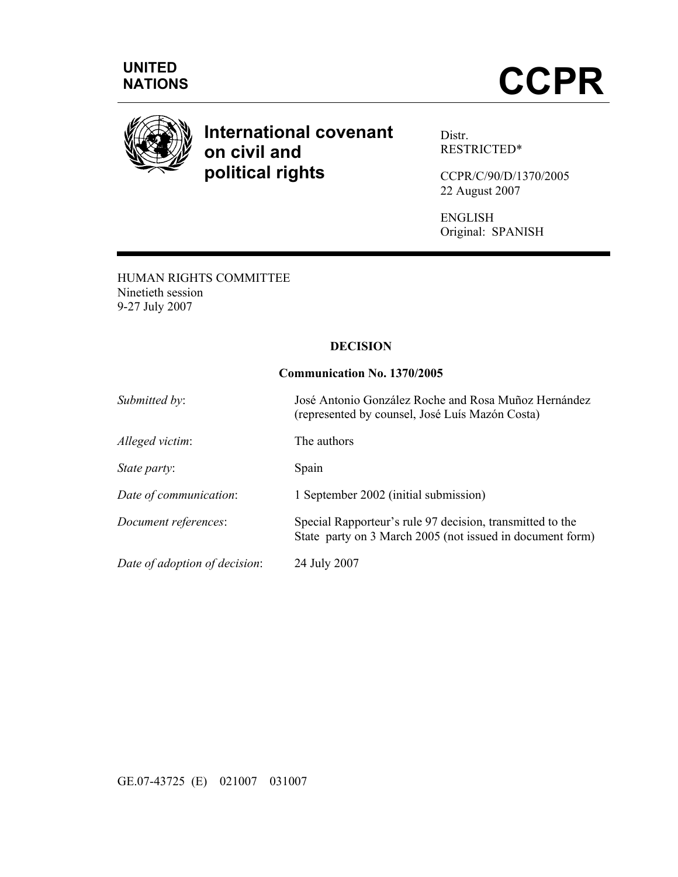



# **International covenant on civil and political rights**

Distr. RESTRICTED\*

CCPR/C/90/D/1370/2005 22 August 2007

ENGLISH Original: SPANISH

HUMAN RIGHTS COMMITTEE Ninetieth session 9-27 July 2007

## **DECISION**

## **Communication No. 1370/2005**

| Submitted by:                 | José Antonio González Roche and Rosa Muñoz Hernández<br>(represented by counsel, José Luís Mazón Costa)                |
|-------------------------------|------------------------------------------------------------------------------------------------------------------------|
| Alleged victim:               | The authors                                                                                                            |
| <i>State party:</i>           | Spain                                                                                                                  |
| Date of communication:        | 1 September 2002 (initial submission)                                                                                  |
| Document references:          | Special Rapporteur's rule 97 decision, transmitted to the<br>State party on 3 March 2005 (not issued in document form) |
| Date of adoption of decision: | 24 July 2007                                                                                                           |

GE.07-43725 (E) 021007 031007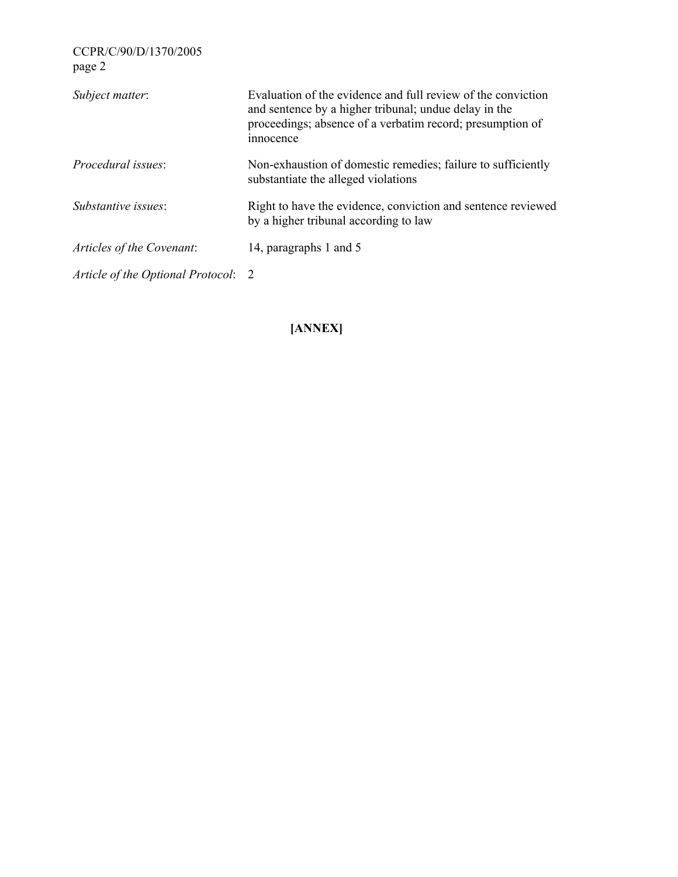| CCPR/C/90/D/1370/2005<br>page 2     |                                                                                                                                                                                                 |
|-------------------------------------|-------------------------------------------------------------------------------------------------------------------------------------------------------------------------------------------------|
| Subject matter:                     | Evaluation of the evidence and full review of the conviction<br>and sentence by a higher tribunal; undue delay in the<br>proceedings; absence of a verbatim record; presumption of<br>innocence |
| <i>Procedural issues:</i>           | Non-exhaustion of domestic remedies; failure to sufficiently<br>substantiate the alleged violations                                                                                             |
| <i>Substantive issues:</i>          | Right to have the evidence, conviction and sentence reviewed<br>by a higher tribunal according to law                                                                                           |
| Articles of the Covenant:           | 14, paragraphs 1 and 5                                                                                                                                                                          |
| Article of the Optional Protocol: 2 |                                                                                                                                                                                                 |
|                                     |                                                                                                                                                                                                 |

**[ANNEX]**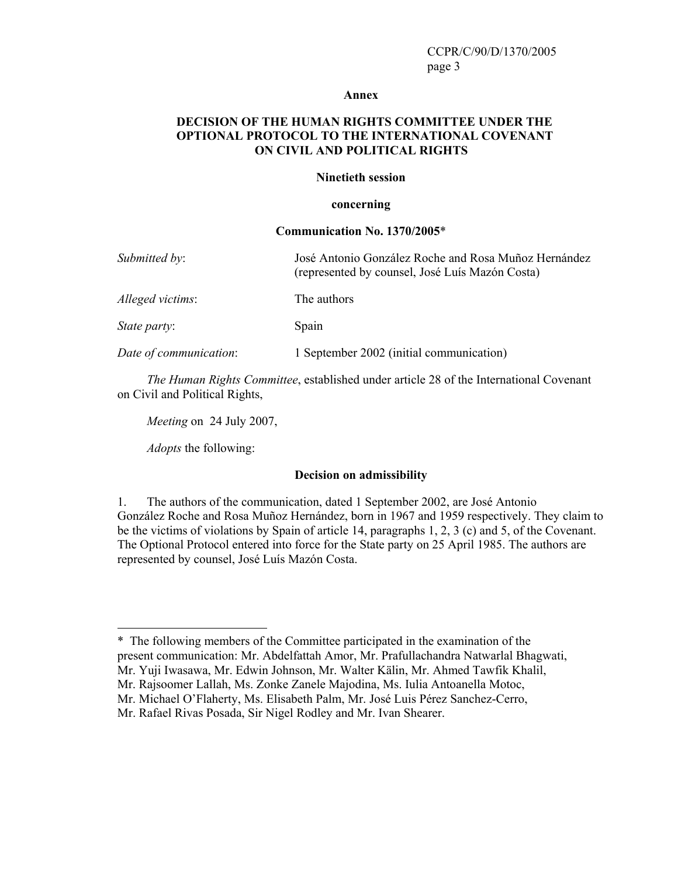#### **Annex**

## **DECISION OF THE HUMAN RIGHTS COMMITTEE UNDER THE OPTIONAL PROTOCOL TO THE INTERNATIONAL COVENANT ON CIVIL AND POLITICAL RIGHTS**

### **Ninetieth session**

### **concerning**

## **Communication No. 1370/2005**\*

| Submitted by:          | José Antonio González Roche and Rosa Muñoz Hernández<br>(represented by counsel, José Luís Mazón Costa) |
|------------------------|---------------------------------------------------------------------------------------------------------|
| Alleged victims:       | The authors                                                                                             |
| State party:           | Spain                                                                                                   |
| Date of communication: | 1 September 2002 (initial communication)                                                                |

*The Human Rights Committee*, established under article 28 of the International Covenant on Civil and Political Rights,

*Meeting* on 24 July 2007,

*Adopts* the following:

 $\overline{a}$ 

## **Decision on admissibility**

1. The authors of the communication, dated 1 September 2002, are José Antonio González Roche and Rosa Muñoz Hernández, born in 1967 and 1959 respectively. They claim to be the victims of violations by Spain of article 14, paragraphs 1, 2, 3 (c) and 5, of the Covenant. The Optional Protocol entered into force for the State party on 25 April 1985. The authors are represented by counsel, José Luís Mazón Costa.

Mr. Michael O'Flaherty, Ms. Elisabeth Palm, Mr. José Luis Pérez Sanchez-Cerro,

<sup>\*</sup> The following members of the Committee participated in the examination of the present communication: Mr. Abdelfattah Amor, Mr. Prafullachandra Natwarlal Bhagwati, Mr. Yuji Iwasawa, Mr. Edwin Johnson, Mr. Walter Kälin, Mr. Ahmed Tawfik Khalil, Mr. Rajsoomer Lallah, Ms. Zonke Zanele Majodina, Ms. Iulia Antoanella Motoc,

Mr. Rafael Rivas Posada, Sir Nigel Rodley and Mr. Ivan Shearer.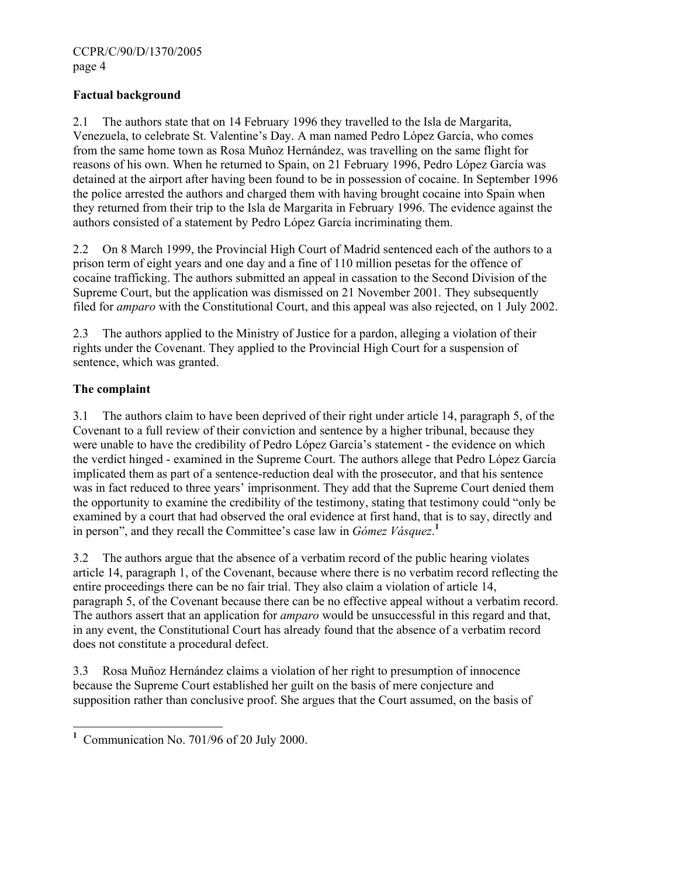## **Factual background**

2.1 The authors state that on 14 February 1996 they travelled to the Isla de Margarita, Venezuela, to celebrate St. Valentine's Day. A man named Pedro López García, who comes from the same home town as Rosa Muñoz Hernández, was travelling on the same flight for reasons of his own. When he returned to Spain, on 21 February 1996, Pedro López García was detained at the airport after having been found to be in possession of cocaine. In September 1996 the police arrested the authors and charged them with having brought cocaine into Spain when they returned from their trip to the Isla de Margarita in February 1996. The evidence against the authors consisted of a statement by Pedro López García incriminating them.

2.2 On 8 March 1999, the Provincial High Court of Madrid sentenced each of the authors to a prison term of eight years and one day and a fine of 110 million pesetas for the offence of cocaine trafficking. The authors submitted an appeal in cassation to the Second Division of the Supreme Court, but the application was dismissed on 21 November 2001. They subsequently filed for *amparo* with the Constitutional Court, and this appeal was also rejected, on 1 July 2002.

2.3 The authors applied to the Ministry of Justice for a pardon, alleging a violation of their rights under the Covenant. They applied to the Provincial High Court for a suspension of sentence, which was granted.

# **The complaint**

3.1 The authors claim to have been deprived of their right under article 14, paragraph 5, of the Covenant to a full review of their conviction and sentence by a higher tribunal, because they were unable to have the credibility of Pedro López García's statement - the evidence on which the verdict hinged - examined in the Supreme Court. The authors allege that Pedro López García implicated them as part of a sentence-reduction deal with the prosecutor, and that his sentence was in fact reduced to three years' imprisonment. They add that the Supreme Court denied them the opportunity to examine the credibility of the testimony, stating that testimony could "only be examined by a court that had observed the oral evidence at first hand, that is to say, directly and in person", and they recall the Committee's case law in *Gómez Vásquez*. **1**

3.2 The authors argue that the absence of a verbatim record of the public hearing violates article 14, paragraph 1, of the Covenant, because where there is no verbatim record reflecting the entire proceedings there can be no fair trial. They also claim a violation of article 14, paragraph 5, of the Covenant because there can be no effective appeal without a verbatim record. The authors assert that an application for *amparo* would be unsuccessful in this regard and that, in any event, the Constitutional Court has already found that the absence of a verbatim record does not constitute a procedural defect.

3.3 Rosa Muñoz Hernández claims a violation of her right to presumption of innocence because the Supreme Court established her guilt on the basis of mere conjecture and supposition rather than conclusive proof. She argues that the Court assumed, on the basis of

<sup>&</sup>lt;sup>1</sup> Communication No. 701/96 of 20 July 2000.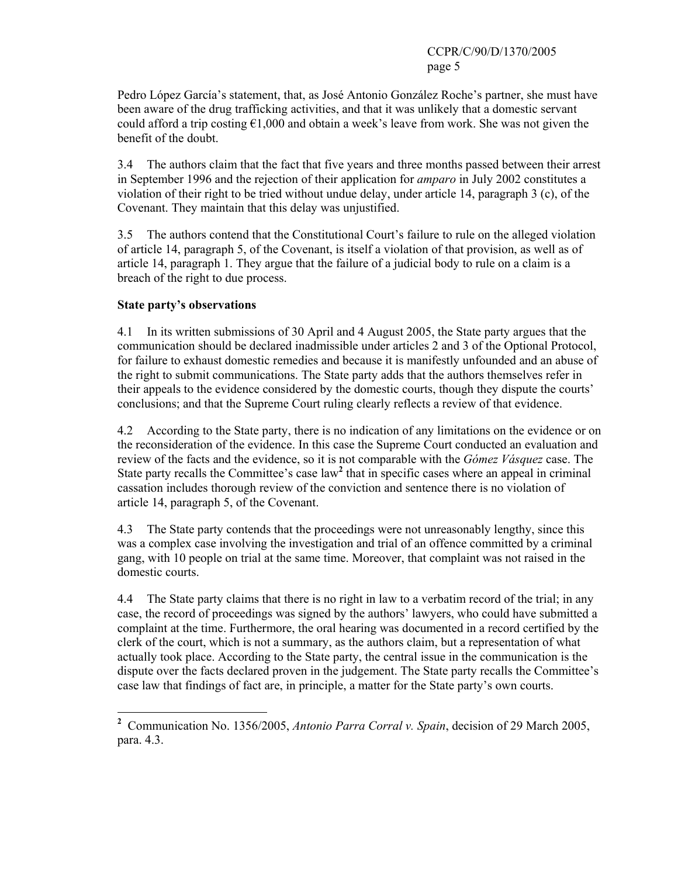Pedro López García's statement, that, as José Antonio González Roche's partner, she must have been aware of the drug trafficking activities, and that it was unlikely that a domestic servant could afford a trip costing  $\epsilon$ 1,000 and obtain a week's leave from work. She was not given the benefit of the doubt.

3.4 The authors claim that the fact that five years and three months passed between their arrest in September 1996 and the rejection of their application for *amparo* in July 2002 constitutes a violation of their right to be tried without undue delay, under article 14, paragraph 3 (c), of the Covenant. They maintain that this delay was unjustified.

3.5 The authors contend that the Constitutional Court's failure to rule on the alleged violation of article 14, paragraph 5, of the Covenant, is itself a violation of that provision, as well as of article 14, paragraph 1. They argue that the failure of a judicial body to rule on a claim is a breach of the right to due process.

## **State party's observations**

 $\overline{a}$ 

4.1 In its written submissions of 30 April and 4 August 2005, the State party argues that the communication should be declared inadmissible under articles 2 and 3 of the Optional Protocol, for failure to exhaust domestic remedies and because it is manifestly unfounded and an abuse of the right to submit communications. The State party adds that the authors themselves refer in their appeals to the evidence considered by the domestic courts, though they dispute the courts' conclusions; and that the Supreme Court ruling clearly reflects a review of that evidence.

4.2 According to the State party, there is no indication of any limitations on the evidence or on the reconsideration of the evidence. In this case the Supreme Court conducted an evaluation and review of the facts and the evidence, so it is not comparable with the *Gómez Vásquez* case. The State party recalls the Committee's case law<sup>2</sup> that in specific cases where an appeal in criminal cassation includes thorough review of the conviction and sentence there is no violation of article 14, paragraph 5, of the Covenant.

4.3 The State party contends that the proceedings were not unreasonably lengthy, since this was a complex case involving the investigation and trial of an offence committed by a criminal gang, with 10 people on trial at the same time. Moreover, that complaint was not raised in the domestic courts.

4.4 The State party claims that there is no right in law to a verbatim record of the trial; in any case, the record of proceedings was signed by the authors' lawyers, who could have submitted a complaint at the time. Furthermore, the oral hearing was documented in a record certified by the clerk of the court, which is not a summary, as the authors claim, but a representation of what actually took place. According to the State party, the central issue in the communication is the dispute over the facts declared proven in the judgement. The State party recalls the Committee's case law that findings of fact are, in principle, a matter for the State party's own courts.

**<sup>2</sup>** Communication No. 1356/2005, *Antonio Parra Corral v. Spain*, decision of 29 March 2005, para. 4.3.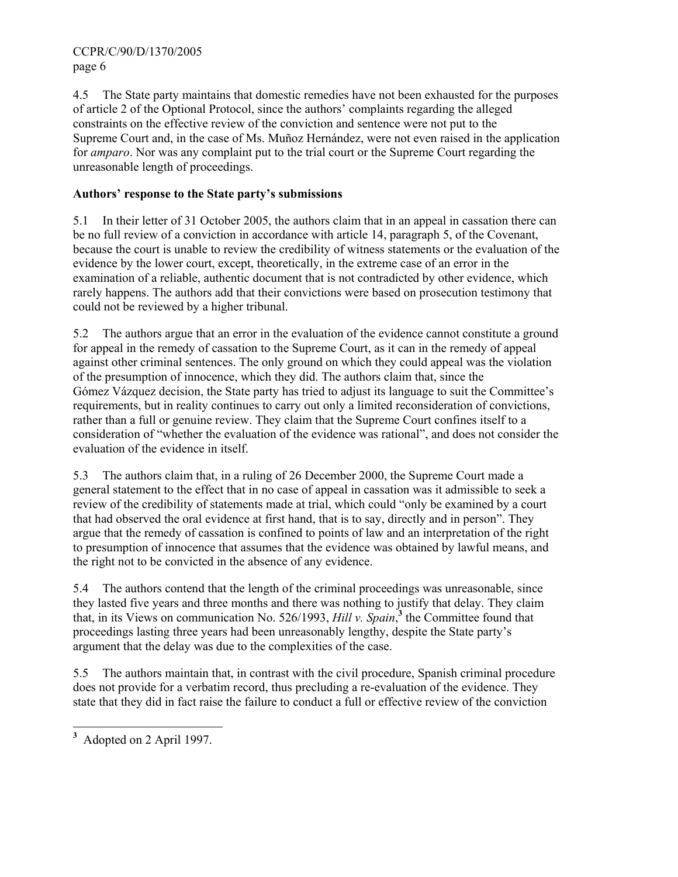CCPR/C/90/D/1370/2005 page 6

4.5 The State party maintains that domestic remedies have not been exhausted for the purposes of article 2 of the Optional Protocol, since the authors' complaints regarding the alleged constraints on the effective review of the conviction and sentence were not put to the Supreme Court and, in the case of Ms. Muñoz Hernández, were not even raised in the application for *amparo*. Nor was any complaint put to the trial court or the Supreme Court regarding the unreasonable length of proceedings.

# **Authors' response to the State party's submissions**

5.1 In their letter of 31 October 2005, the authors claim that in an appeal in cassation there can be no full review of a conviction in accordance with article 14, paragraph 5, of the Covenant, because the court is unable to review the credibility of witness statements or the evaluation of the evidence by the lower court, except, theoretically, in the extreme case of an error in the examination of a reliable, authentic document that is not contradicted by other evidence, which rarely happens. The authors add that their convictions were based on prosecution testimony that could not be reviewed by a higher tribunal.

5.2 The authors argue that an error in the evaluation of the evidence cannot constitute a ground for appeal in the remedy of cassation to the Supreme Court, as it can in the remedy of appeal against other criminal sentences. The only ground on which they could appeal was the violation of the presumption of innocence, which they did. The authors claim that, since the Gómez Vázquez decision, the State party has tried to adjust its language to suit the Committee's requirements, but in reality continues to carry out only a limited reconsideration of convictions, rather than a full or genuine review. They claim that the Supreme Court confines itself to a consideration of "whether the evaluation of the evidence was rational", and does not consider the evaluation of the evidence in itself.

5.3 The authors claim that, in a ruling of 26 December 2000, the Supreme Court made a general statement to the effect that in no case of appeal in cassation was it admissible to seek a review of the credibility of statements made at trial, which could "only be examined by a court that had observed the oral evidence at first hand, that is to say, directly and in person". They argue that the remedy of cassation is confined to points of law and an interpretation of the right to presumption of innocence that assumes that the evidence was obtained by lawful means, and the right not to be convicted in the absence of any evidence.

5.4 The authors contend that the length of the criminal proceedings was unreasonable, since they lasted five years and three months and there was nothing to justify that delay. They claim that, in its Views on communication No. 526/1993, *Hill v. Spain*, **<sup>3</sup>** the Committee found that proceedings lasting three years had been unreasonably lengthy, despite the State party's argument that the delay was due to the complexities of the case.

5.5 The authors maintain that, in contrast with the civil procedure, Spanish criminal procedure does not provide for a verbatim record, thus precluding a re-evaluation of the evidence. They state that they did in fact raise the failure to conduct a full or effective review of the conviction

<sup>&</sup>lt;sup>3</sup> Adopted on 2 April 1997.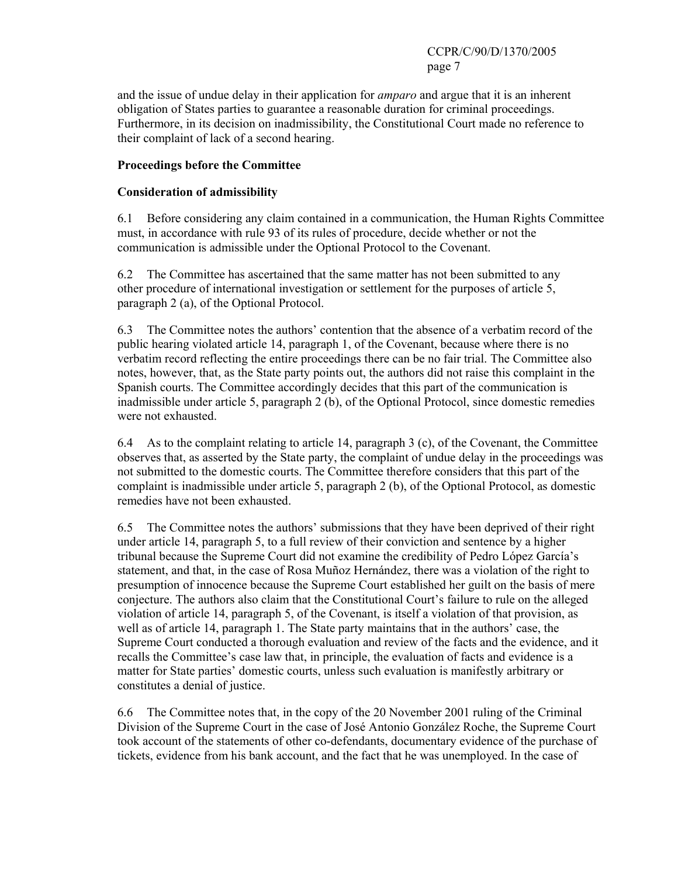and the issue of undue delay in their application for *amparo* and argue that it is an inherent obligation of States parties to guarantee a reasonable duration for criminal proceedings. Furthermore, in its decision on inadmissibility, the Constitutional Court made no reference to their complaint of lack of a second hearing.

## **Proceedings before the Committee**

## **Consideration of admissibility**

6.1 Before considering any claim contained in a communication, the Human Rights Committee must, in accordance with rule 93 of its rules of procedure, decide whether or not the communication is admissible under the Optional Protocol to the Covenant.

6.2 The Committee has ascertained that the same matter has not been submitted to any other procedure of international investigation or settlement for the purposes of article 5, paragraph 2 (a), of the Optional Protocol.

6.3 The Committee notes the authors' contention that the absence of a verbatim record of the public hearing violated article 14, paragraph 1, of the Covenant, because where there is no verbatim record reflecting the entire proceedings there can be no fair trial. The Committee also notes, however, that, as the State party points out, the authors did not raise this complaint in the Spanish courts. The Committee accordingly decides that this part of the communication is inadmissible under article 5, paragraph 2 (b), of the Optional Protocol, since domestic remedies were not exhausted.

6.4 As to the complaint relating to article 14, paragraph 3 (c), of the Covenant, the Committee observes that, as asserted by the State party, the complaint of undue delay in the proceedings was not submitted to the domestic courts. The Committee therefore considers that this part of the complaint is inadmissible under article 5, paragraph 2 (b), of the Optional Protocol, as domestic remedies have not been exhausted.

6.5 The Committee notes the authors' submissions that they have been deprived of their right under article 14, paragraph 5, to a full review of their conviction and sentence by a higher tribunal because the Supreme Court did not examine the credibility of Pedro López García's statement, and that, in the case of Rosa Muñoz Hernández, there was a violation of the right to presumption of innocence because the Supreme Court established her guilt on the basis of mere conjecture. The authors also claim that the Constitutional Court's failure to rule on the alleged violation of article 14, paragraph 5, of the Covenant, is itself a violation of that provision, as well as of article 14, paragraph 1. The State party maintains that in the authors' case, the Supreme Court conducted a thorough evaluation and review of the facts and the evidence, and it recalls the Committee's case law that, in principle, the evaluation of facts and evidence is a matter for State parties' domestic courts, unless such evaluation is manifestly arbitrary or constitutes a denial of justice.

6.6 The Committee notes that, in the copy of the 20 November 2001 ruling of the Criminal Division of the Supreme Court in the case of José Antonio González Roche, the Supreme Court took account of the statements of other co-defendants, documentary evidence of the purchase of tickets, evidence from his bank account, and the fact that he was unemployed. In the case of